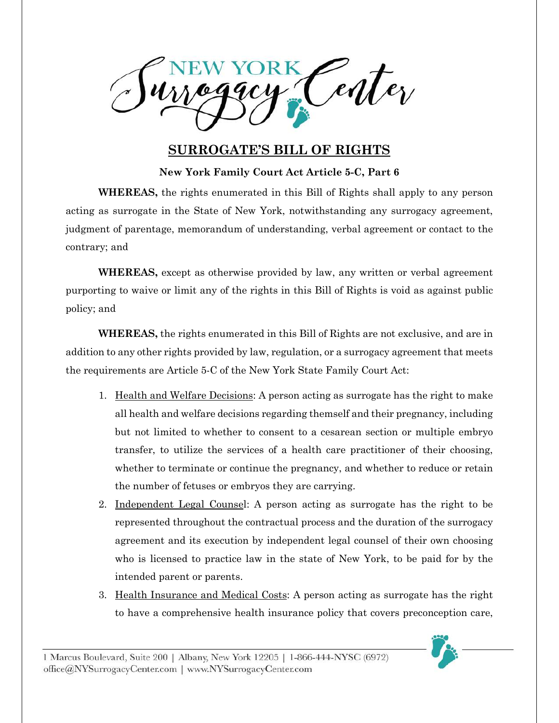Center

## **SURROGATE'S BILL OF RIGHTS**

**New York Family Court Act Article 5-C, Part 6**

**WHEREAS,** the rights enumerated in this Bill of Rights shall apply to any person acting as surrogate in the State of New York, notwithstanding any surrogacy agreement, judgment of parentage, memorandum of understanding, verbal agreement or contact to the contrary; and

**WHEREAS,** except as otherwise provided by law, any written or verbal agreement purporting to waive or limit any of the rights in this Bill of Rights is void as against public policy; and

**WHEREAS,** the rights enumerated in this Bill of Rights are not exclusive, and are in addition to any other rights provided by law, regulation, or a surrogacy agreement that meets the requirements are Article 5-C of the New York State Family Court Act:

- 1. Health and Welfare Decisions: A person acting as surrogate has the right to make all health and welfare decisions regarding themself and their pregnancy, including but not limited to whether to consent to a cesarean section or multiple embryo transfer, to utilize the services of a health care practitioner of their choosing, whether to terminate or continue the pregnancy, and whether to reduce or retain the number of fetuses or embryos they are carrying.
- 2. Independent Legal Counsel: A person acting as surrogate has the right to be represented throughout the contractual process and the duration of the surrogacy agreement and its execution by independent legal counsel of their own choosing who is licensed to practice law in the state of New York, to be paid for by the intended parent or parents.
- 3. Health Insurance and Medical Costs: A person acting as surrogate has the right to have a comprehensive health insurance policy that covers preconception care,